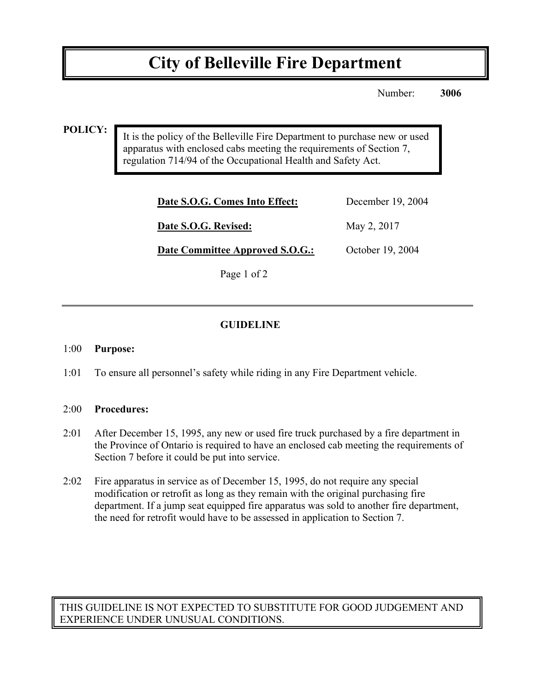# **City of Belleville Fire Department**

Number: **3006**

#### **POLICY:**

It is the policy of the Belleville Fire Department to purchase new or used apparatus with enclosed cabs meeting the requirements of Section 7, regulation 714/94 of the Occupational Health and Safety Act.

| Date S.O.G. Comes Into Effect:  | December 19, 2004 |
|---------------------------------|-------------------|
| Date S.O.G. Revised:            | May 2, 2017       |
| Date Committee Approved S.O.G.: | October 19, 2004  |

Page 1 of 2

## **GUIDELINE**

#### 1:00 **Purpose:**

1:01 To ensure all personnel's safety while riding in any Fire Department vehicle.

#### 2:00 **Procedures:**

- 2:01 After December 15, 1995, any new or used fire truck purchased by a fire department in the Province of Ontario is required to have an enclosed cab meeting the requirements of Section 7 before it could be put into service.
- 2:02 Fire apparatus in service as of December 15, 1995, do not require any special modification or retrofit as long as they remain with the original purchasing fire department. If a jump seat equipped fire apparatus was sold to another fire department, the need for retrofit would have to be assessed in application to Section 7.

THIS GUIDELINE IS NOT EXPECTED TO SUBSTITUTE FOR GOOD JUDGEMENT AND EXPERIENCE UNDER UNUSUAL CONDITIONS.